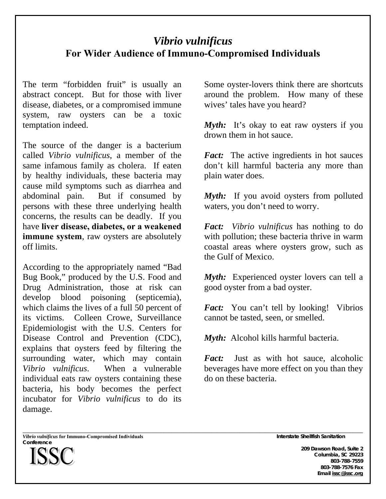## *Vibrio vulnificus* **For Wider Audience of Immuno-Compromised Individuals**

The term "forbidden fruit" is usually an abstract concept. But for those with liver disease, diabetes, or a compromised immune system, raw oysters can be a toxic temptation indeed.

The source of the danger is a bacterium called *Vibrio vulnificus*, a member of the same infamous family as cholera. If eaten by healthy individuals, these bacteria may cause mild symptoms such as diarrhea and abdominal pain. But if consumed by persons with these three underlying health concerns, the results can be deadly. If you have **liver disease, diabetes, or a weakened immune system**, raw oysters are absolutely off limits.

According to the appropriately named "Bad Bug Book," produced by the U.S. Food and Drug Administration, those at risk can develop blood poisoning (septicemia), which claims the lives of a full 50 percent of its victims. Colleen Crowe, Surveillance Epidemiologist with the U.S. Centers for Disease Control and Prevention (CDC), explains that oysters feed by filtering the surrounding water, which may contain *Vibrio vulnificus*. When a vulnerable individual eats raw oysters containing these bacteria, his body becomes the perfect incubator for *Vibrio vulnificus* to do its damage.

Some oyster-lovers think there are shortcuts around the problem. How many of these wives' tales have you heard?

*Myth*: It's okay to eat raw oysters if you drown them in hot sauce.

*Fact:* The active ingredients in hot sauces don't kill harmful bacteria any more than plain water does.

*Myth*: If you avoid oysters from polluted waters, you don't need to worry.

*Fact: Vibrio vulnificus* has nothing to do with pollution; these bacteria thrive in warm coastal areas where oysters grow, such as the Gulf of Mexico.

*Myth:* Experienced oyster lovers can tell a good oyster from a bad oyster.

*Fact:* You can't tell by looking! Vibrios cannot be tasted, seen, or smelled.

*Myth:* Alcohol kills harmful bacteria.

*Fact:* Just as with hot sauce, alcoholic beverages have more effect on you than they do on these bacteria.

\_\_\_\_\_\_\_\_\_\_\_\_\_\_\_\_\_\_\_\_\_\_\_\_\_\_\_\_\_\_\_\_\_\_\_\_\_\_\_\_\_\_\_\_\_\_\_\_\_\_\_\_\_\_\_\_\_\_\_\_\_\_\_\_\_\_\_\_\_\_\_\_\_\_\_\_\_\_\_\_\_\_\_\_\_\_\_\_\_\_\_\_\_\_\_\_\_\_\_\_\_\_\_\_\_\_\_\_\_\_\_\_\_\_\_\_\_\_\_\_\_\_\_\_\_\_\_\_\_\_\_\_\_\_\_ *Vibrio vulnificus* **for Immuno-Compromised Individuals Interstate Shellfish Sanitation Conference** 



**209 Dawson Road, Suite 2 Columbia, SC 29223 803-788-7559 803-788-7576 Fax Email issc@issc.org**